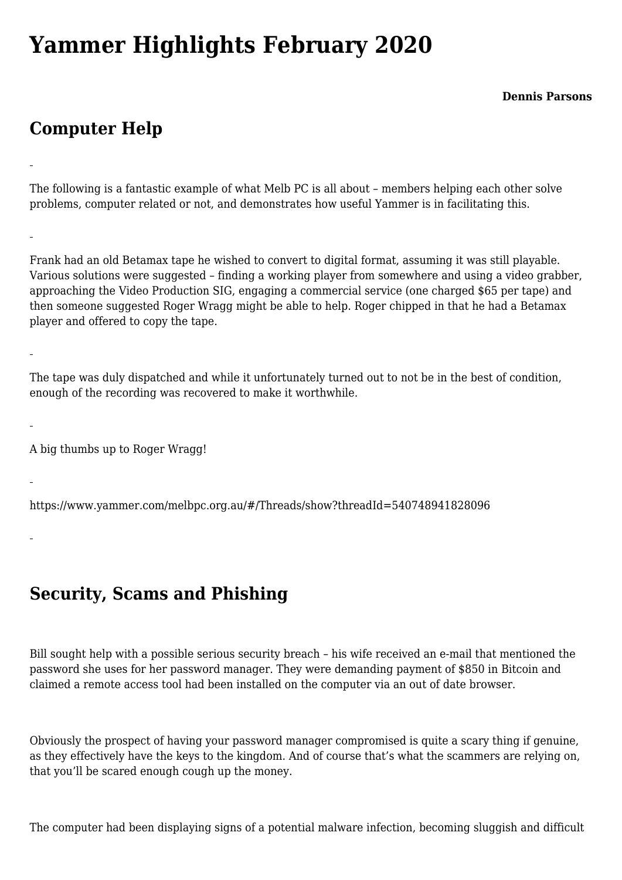## **[Yammer Highlights February 2020](https://www.melbpc.org.au/yammer-highlights-february-2020/)**

**Dennis Parsons**

## **Computer Help**

The following is a fantastic example of what Melb PC is all about – members helping each other solve problems, computer related or not, and demonstrates how useful Yammer is in facilitating this.

Frank had an old Betamax tape he wished to convert to digital format, assuming it was still playable. Various solutions were suggested – finding a working player from somewhere and using a video grabber, approaching the Video Production SIG, engaging a commercial service (one charged \$65 per tape) and then someone suggested Roger Wragg might be able to help. Roger chipped in that he had a Betamax player and offered to copy the tape.

The tape was duly dispatched and while it unfortunately turned out to not be in the best of condition, enough of the recording was recovered to make it worthwhile.

A big thumbs up to Roger Wragg!

<https://www.yammer.com/melbpc.org.au/#/Threads/show?threadId=540748941828096>

**Security, Scams and Phishing**

Bill sought help with a possible serious security breach – his wife received an e-mail that mentioned the password she uses for her password manager. They were demanding payment of \$850 in Bitcoin and claimed a remote access tool had been installed on the computer via an out of date browser.

Obviously the prospect of having your password manager compromised is quite a scary thing if genuine, as they effectively have the keys to the kingdom. And of course that's what the scammers are relying on, that you'll be scared enough cough up the money.

The computer had been displaying signs of a potential malware infection, becoming sluggish and difficult